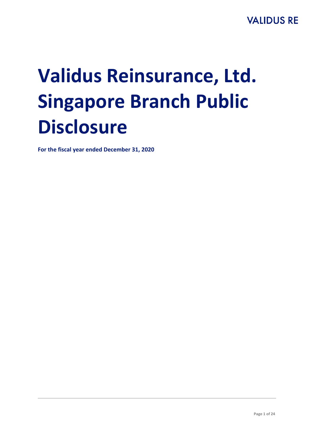# **Validus Reinsurance, Ltd. Singapore Branch Public Disclosure**

**For the fiscal year ended December 31, 2020**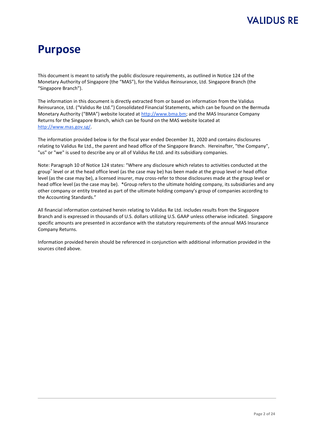# **Purpose**

This document is meant to satisfy the public disclosure requirements, as outlined in Notice 124 of the Monetary Authority of Singapore (the "MAS"), for the Validus Reinsurance, Ltd. Singapore Branch (the "Singapore Branch").

The information in this document is directly extracted from or based on information from the Validus Reinsurance, Ltd. ("Validus Re Ltd.") Consolidated Financial Statements, which can be found on the Bermuda Monetary Authority ("BMA") website located at [http://www.bma.bm;](http://www.bma.bm/) and the MAS Insurance Company Returns for the Singapore Branch, which can be found on the MAS website located at [http://www.mas.gov.sg/.](http://www.mas.gov.sg/) 

The information provided below is for the fiscal year ended December 31, 2020 and contains disclosures relating to Validus Re Ltd., the parent and head office of the Singapore Branch. Hereinafter, "the Company", "us" or "we" is used to describe any or all of Validus Re Ltd. and its subsidiary companies.

Note: Paragraph 10 of Notice 124 states: "Where any disclosure which relates to activities conducted at the group\* level or at the head office level (as the case may be) has been made at the group level or head office level (as the case may be), a licensed insurer, may cross-refer to those disclosures made at the group level or head office level (as the case may be). \*Group refers to the ultimate holding company, its subsidiaries and any other company or entity treated as part of the ultimate holding company's group of companies according to the Accounting Standards."

All financial information contained herein relating to Validus Re Ltd. includes results from the Singapore Branch and is expressed in thousands of U.S. dollars utilizing U.S. GAAP unless otherwise indicated. Singapore specific amounts are presented in accordance with the statutory requirements of the annual MAS Insurance Company Returns.

Information provided herein should be referenced in conjunction with additional information provided in the sources cited above.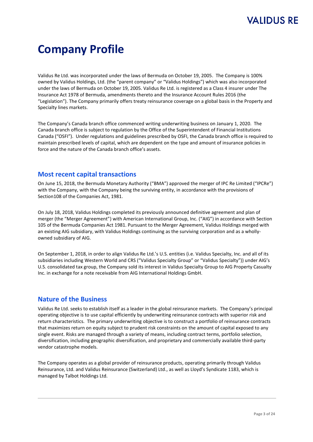# **Company Profile**

Validus Re Ltd. was incorporated under the laws of Bermuda on October 19, 2005. The Company is 100% owned by Validus Holdings, Ltd. (the "parent company" or "Validus Holdings") which was also incorporated under the laws of Bermuda on October 19, 2005. Validus Re Ltd. is registered as a Class 4 insurer under The Insurance Act 1978 of Bermuda, amendments thereto and the Insurance Account Rules 2016 (the "Legislation"). The Company primarily offers treaty reinsurance coverage on a global basis in the Property and Specialty lines markets.

The Company's Canada branch office commenced writing underwriting business on January 1, 2020. The Canada branch office is subject to regulation by the Office of the Superintendent of Financial Institutions Canada ("OSFI"). Under regulations and guidelines prescribed by OSFI, the Canada branch office is required to maintain prescribed levels of capital, which are dependent on the type and amount of insurance policies in force and the nature of the Canada branch office's assets.

#### **Most recent capital transactions**

On June 15, 2018, the Bermuda Monetary Authority ("BMA") approved the merger of IPC Re Limited ("IPCRe") with the Company, with the Company being the surviving entity, in accordance with the provisions of Section108 of the Companies Act, 1981.

On July 18, 2018, Validus Holdings completed its previously announced definitive agreement and plan of merger (the "Merger Agreement") with American International Group, Inc. ("AIG") in accordance with Section 105 of the Bermuda Companies Act 1981. Pursuant to the Merger Agreement, Validus Holdings merged with an existing AIG subsidiary, with Validus Holdings continuing as the surviving corporation and as a whollyowned subsidiary of AIG.

On September 1, 2018, in order to align Validus Re Ltd.'s U.S. entities (i.e. Validus Specialty, Inc. and all of its subsidiaries including Western World and CRS ("Validus Specialty Group" or "Validus Specialty")) under AIG's U.S. consolidated tax group, the Company sold its interest in Validus Specialty Group to AIG Property Casualty Inc. in exchange for a note receivable from AIG International Holdings GmbH.

#### **Nature of the Business**

Validus Re Ltd. seeks to establish itself as a leader in the global reinsurance markets. The Company's principal operating objective is to use capital efficiently by underwriting reinsurance contracts with superior risk and return characteristics. The primary underwriting objective is to construct a portfolio of reinsurance contracts that maximizes return on equity subject to prudent risk constraints on the amount of capital exposed to any single event. Risks are managed through a variety of means, including contract terms, portfolio selection, diversification, including geographic diversification, and proprietary and commercially available third-party vendor catastrophe models.

The Company operates as a global provider of reinsurance products, operating primarily through Validus Reinsurance, Ltd. and Validus Reinsurance (Switzerland) Ltd., as well as Lloyd's Syndicate 1183, which is managed by Talbot Holdings Ltd.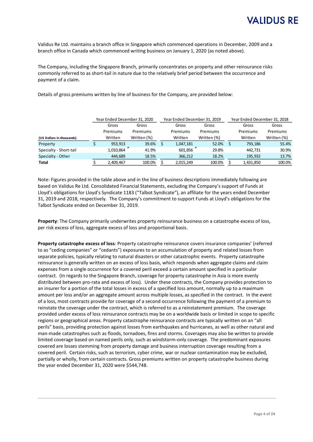Validus Re Ltd. maintains a branch office in Singapore which commenced operations in December, 2009 and a branch office in Canada which commenced writing business on January 1, 2020 (as noted above).

The Company, including the Singapore Branch, primarily concentrates on property and other reinsurance risks commonly referred to as short-tail in nature due to the relatively brief period between the occurrence and payment of a claim.

Details of gross premiums written by line of business for the Company, are provided below:

|                           | Year Ended December 31, 2020 |           |             |  | Year Ended December 31, 2019 |             | Year Ended December 31, 2018 |           |             |       |
|---------------------------|------------------------------|-----------|-------------|--|------------------------------|-------------|------------------------------|-----------|-------------|-------|
|                           |                              | Gross     | Gross       |  | Gross<br>Gross               |             | Gross                        |           |             | Gross |
|                           |                              | Premiums  | Premiums    |  | Premiums                     | Premiums    |                              | Premiums  | Premiums    |       |
| (US Dollars in thousands) |                              | Written   | Written (%) |  | Written                      | Written (%) |                              | Written   | Written (%) |       |
| Property                  |                              | 953.913   | 39.6%       |  | 1,047,181                    | 52.0%       |                              | 793.186   | 55.4%       |       |
| Specialty - Short-tail    |                              | 1,010,864 | 41.9%       |  | 601.856                      | 29.8%       |                              | 442.731   | 30.9%       |       |
| Specialty - Other         |                              | 444.689   | 18.5%       |  | 366,212                      | 18.2%       |                              | 195.932   | 13.7%       |       |
| <b>Total</b>              |                              | 2,409,467 | 100.0%      |  | 2,015,249                    | 100.0%      |                              | 1,431,850 | 100.0%      |       |

Note: Figures provided in the table above and in the line of business descriptions immediately following are based on Validus Re Ltd. Consolidated Financial Statements, excluding the Company's support of Funds at Lloyd's obligations for Lloyd's Syndicate 1183 ("Talbot Syndicate"), an affiliate for the years ended December 31, 2019 and 2018, respectively. The Company's commitment to support Funds at Lloyd's obligations for the Talbot Syndicate ended on December 31, 2019.

**Property**: The Company primarily underwrites property reinsurance business on a catastrophe excess of loss, per risk excess of loss, aggregate excess of loss and proportional basis.

**Property catastrophe excess of loss***:* Property catastrophe reinsurance covers insurance companies' (referred to as "ceding companies" or "cedants") exposures to an accumulation of property and related losses from separate policies, typically relating to natural disasters or other catastrophic events. Property catastrophe reinsurance is generally written on an excess of loss basis, which responds when aggregate claims and claim expenses from a single occurrence for a covered peril exceed a certain amount specified in a particular contract. (In regards to the Singapore Branch, coverage for property catastrophe in Asia is more evenly distributed between pro-rata and excess of loss). Under these contracts, the Company provides protection to an insurer for a portion of the total losses in excess of a specified loss amount, normally up to a maximum amount per loss and/or an aggregate amount across multiple losses, as specified in the contract. In the event of a loss, most contracts provide for coverage of a second occurrence following the payment of a premium to reinstate the coverage under the contract, which is referred to as a reinstatement premium. The coverage provided under excess of loss reinsurance contracts may be on a worldwide basis or limited in scope to specific regions or geographical areas. Property catastrophe reinsurance contracts are typically written on an "all perils" basis, providing protection against losses from earthquakes and hurricanes, as well as other natural and man-made catastrophes such as floods, tornadoes, fires and storms. Coverages may also be written to provide limited coverage based on named perils only, such as windstorm-only coverage. The predominant exposures covered are losses stemming from property damage and business interruption coverage resulting from a covered peril. Certain risks, such as terrorism, cyber crime, war or nuclear contamination may be excluded, partially or wholly, from certain contracts. Gross premiums written on property catastrophe business during the year ended December 31, 2020 were \$544,748.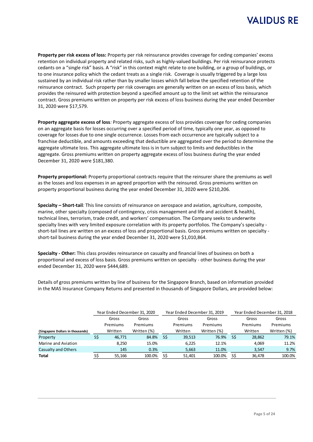

**Property per risk excess of loss:** Property per risk reinsurance provides coverage for ceding companies' excess retention on individual property and related risks, such as highly-valued buildings. Per risk reinsurance protects cedants on a "single risk" basis. A "risk" in this context might relate to one building, or a group of buildings, or to one insurance policy which the cedant treats as a single risk. Coverage is usually triggered by a large loss sustained by an individual risk rather than by smaller losses which fall below the specified retention of the reinsurance contract. Such property per risk coverages are generally written on an excess of loss basis, which provides the reinsured with protection beyond a specified amount up to the limit set within the reinsurance contract. Gross premiums written on property per risk excess of loss business during the year ended December 31, 2020 were \$17,579.

**Property aggregate excess of loss***:* Property aggregate excess of loss provides coverage for ceding companies on an aggregate basis for losses occurring over a specified period of time, typically one year, as opposed to coverage for losses due to one single occurrence. Losses from each occurrence are typically subject to a franchise deductible, and amounts exceeding that deductible are aggregated over the period to determine the aggregate ultimate loss. This aggregate ultimate loss is in turn subject to limits and deductibles in the aggregate. Gross premiums written on property aggregate excess of loss business during the year ended December 31, 2020 were \$181,380.

**Property proportional:** Property proportional contracts require that the reinsurer share the premiums as well as the losses and loss expenses in an agreed proportion with the reinsured. Gross premiums written on property proportional business during the year ended December 31, 2020 were \$210,206.

**Specialty – Short-tail***:* This line consists of reinsurance on aerospace and aviation, agriculture, composite, marine, other specialty (composed of contingency, crisis management and life and accident & health), technical lines, terrorism, trade credit, and workers' compensation. The Company seeks to underwrite specialty lines with very limited exposure correlation with its property portfolios. The Company's specialty short-tail lines are written on an excess of loss and proportional basis. Gross premiums written on specialty short-tail business during the year ended December 31, 2020 were \$1,010,864.

**Specialty - Other:** This class provides reinsurance on casualty and financial lines of business on both a proportional and excess of loss basis. Gross premiums written on specialty - other business during the year ended December 31, 2020 were \$444,689.

Details of gross premiums written by line of business for the Singapore Branch, based on information provided in the MAS Insurance Company Returns and presented in thousands of Singapore Dollars, are provided below:

|                                  | Year Ended December 31, 2020 |          |             | Year Ended December 31, 2019 |          |             |     | Year Ended December 31, 2018 |             |  |  |
|----------------------------------|------------------------------|----------|-------------|------------------------------|----------|-------------|-----|------------------------------|-------------|--|--|
|                                  |                              | Gross    | Gross       |                              | Gross    | Gross       |     | Gross                        | Gross       |  |  |
|                                  |                              | Premiums | Premiums    |                              | Premiums | Premiums    |     | Premiums                     | Premiums    |  |  |
| (Singapore Dollars in thousands) |                              | Written  | Written (%) |                              | Written  | Written (%) |     | Written                      | Written (%) |  |  |
| Property                         | S\$                          | 46.771   | 84.8%       | S\$                          | 39,513   | 76.9%       | -SS | 28,862                       | 79.1%       |  |  |
| Marine and Aviation              |                              | 8.250    | 15.0%       |                              | 6.225    | 12.1%       |     | 4.069                        | 11.2%       |  |  |
| Casualty and Others              |                              | 145      | 0.3%        |                              | 5,663    | 11.0%       |     | 3.547                        | 9.7%        |  |  |
| <b>Total</b>                     | S\$                          | 55,166   | 100.0%      | S\$                          | 51,401   | 100.0%      | SŚ  | 36,478                       | 100.0%      |  |  |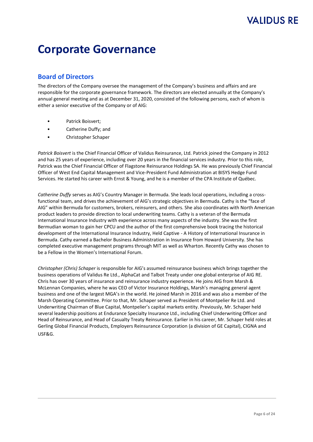# **Corporate Governance**

#### **Board of Directors**

The directors of the Company oversee the management of the Company's business and affairs and are responsible for the corporate governance framework. The directors are elected annually at the Company's annual general meeting and as at December 31, 2020, consisted of the following persons, each of whom is either a senior executive of the Company or of AIG:

- Patrick Boisvert;
- Catherine Duffy; and
- Christopher Schaper

*Patrick Boisvert* is the Chief Financial Officer of Validus Reinsurance, Ltd. Patrick joined the Company in 2012 and has 25 years of experience, including over 20 years in the financial services industry. Prior to this role, Patrick was the Chief Financial Officer of Flagstone Reinsurance Holdings SA. He was previously Chief Financial Officer of West End Capital Management and Vice-President Fund Administration at BISYS Hedge Fund Services. He started his career with Ernst & Young, and he is a member of the CPA Institute of Québec.

*Catherine Duffy* serves as AIG's Country Manager in Bermuda. She leads local operations, including a crossfunctional team, and drives the achievement of AIG's strategic objectives in Bermuda. Cathy is the "face of AIG" within Bermuda for customers, brokers, reinsurers, and others. She also coordinates with North American product leaders to provide direction to local underwriting teams. Cathy is a veteran of the Bermuda International Insurance Industry with experience across many aspects of the industry. She was the first Bermudian woman to gain her CPCU and the author of the first comprehensive book tracing the historical development of the International Insurance Industry, Held Captive - A History of International Insurance in Bermuda. Cathy earned a Bachelor Business Administration in Insurance from Howard University. She has completed executive management programs through MIT as well as Wharton. Recently Cathy was chosen to be a Fellow in the Women's International Forum.

*Christopher (Chris) Schaper* is responsible for AIG's assumed reinsurance business which brings together the business operations of Validus Re Ltd., AlphaCat and Talbot Treaty under one global enterprise of AIG RE. Chris has over 30 years of insurance and reinsurance industry experience. He joins AIG from Marsh & McLennan Companies, where he was CEO of Victor Insurance Holdings, Marsh's managing general agent business and one of the largest MGA's in the world. He joined Marsh in 2016 and was also a member of the Marsh Operating Committee. Prior to that, Mr. Schaper served as President of Montpelier Re Ltd. and Underwriting Chairman of Blue Capital, Montpelier's capital markets entity. Previously, Mr. Schaper held several leadership positions at Endurance Specialty Insurance Ltd., including Chief Underwriting Officer and Head of Reinsurance, and Head of Casualty Treaty Reinsurance. Earlier in his career, Mr. Schaper held roles at Gerling Global Financial Products, Employers Reinsurance Corporation (a division of GE Capital), CIGNA and USF&G.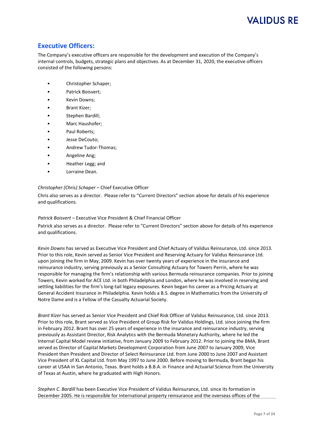#### **Executive Officers:**

The Company's executive officers are responsible for the development and execution of the Company's internal controls, budgets, strategic plans and objectives. As at December 31, 2020, the executive officers consisted of the following persons:

- Christopher Schaper;
- Patrick Boisvert;
- Kevin Downs;
- Brant Kizer:
- Stephen Bardill;
- Marc Haushofer;
- Paul Roberts:
- Jesse DeCouto;
- Andrew Tudor-Thomas;
- Angeline Ang;
- Heather Legg; and
- Lorraine Dean.

#### *Christopher (Chris) Schaper* – Chief Executive Officer

Chris also serves as a director. Please refer to "Current Directors" section above for details of his experience and qualifications.

#### *Patrick Boisvert* – Executive Vice President & Chief Financial Officer

Patrick also serves as a director. Please refer to "Current Directors" section above for details of his experience and qualifications.

*Kevin Downs* has served as Executive Vice President and Chief Actuary of Validus Reinsurance, Ltd. since 2013. Prior to this role, Kevin served as Senior Vice President and Reserving Actuary for Validus Reinsurance Ltd. upon joining the firm in May, 2009. Kevin has over twenty years of experience in the insurance and reinsurance industry, serving previously as a Senior Consulting Actuary for Towers Perrin, where he was responsible for managing the firm's relationship with various Bermuda reinsurance companies. Prior to joining Towers, Kevin worked for ACE Ltd. in both Philadelphia and London, where he was involved in reserving and settling liabilities for the firm's long-tail legacy exposures. Kevin began his career as a Pricing Actuary at General Accident Insurance in Philadelphia. Kevin holds a B.S. degree in Mathematics from the University of Notre Dame and is a Fellow of the Casualty Actuarial Society.

*Brant Kizer* has served as Senior Vice President and Chief Risk Officer of Validus Reinsurance, Ltd. since 2013. Prior to this role, Brant served as Vice President of Group Risk for Validus Holdings, Ltd. since joining the firm in February 2012. Brant has over 25 years of experience in the insurance and reinsurance industry, serving previously as Assistant Director, Risk Analytics with the Bermuda Monetary Authority, where he led the Internal Capital Model review initiative, from January 2009 to February 2012. Prior to joining the BMA, Brant served as Director of Capital Markets Development Corporation from June 2007 to January 2009, Vice President then President and Director of Select Reinsurance Ltd. from June 2000 to June 2007 and Assistant Vice President of XL Capital Ltd. from May 1997 to June 2000. Before moving to Bermuda, Brant began his career at USAA in San Antonio, Texas. Brant holds a B.B.A. in Finance and Actuarial Science from the University of Texas at Austin, where he graduated with High Honors.

*Stephen C. Bardill* has been Executive Vice President of Validus Reinsurance, Ltd. since its formation in December 2005. He is responsible for International property reinsurance and the overseas offices of the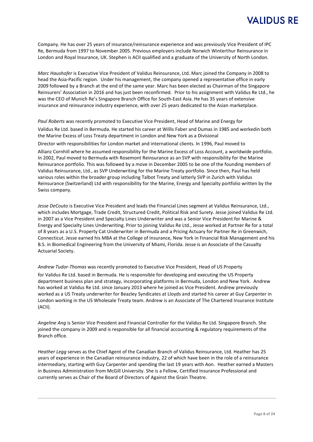Company. He has over 25 years of insurance/reinsurance experience and was previously Vice President of IPC Re, Bermuda from 1997 to November 2005. Previous employers include Norwich Winterthur Reinsurance in London and Royal Insurance, UK. Stephen is ACII qualified and a graduate of the University of North London.

*Marc Haushofer* is Executive Vice President of Validus Reinsurance, Ltd. Marc joined the Company in 2008 to head the Asia‐Pacific region. Under his management, the company opened a representative office in early 2009 followed by a Branch at the end of the same year. Marc has been elected as Chairman of the Singapore Reinsurers' Association in 2016 and has just been reconfirmed. Prior to his assignment with Validus Re Ltd., he was the CEO of Munich Re's Singapore Branch Office for South‐East Asia. He has 35 years of extensive insurance and reinsurance industry experience, with over 25 years dedicated to the Asian marketplace.

*Paul Roberts* was recently promoted to Executive Vice President, Head of Marine and Energy for Validus Re Ltd. based in Bermuda. He started his career at Willis Faber and Dumas in 1985 and workedin both the Marine Excess of Loss Treaty department in London and New York as a Divisional Director with responsibilities for London market and international clients. In 1996, Paul moved to

Allianz Cornhill where he assumed responsibility for the Marine Excess of Loss Account, a worldwide portfolio. In 2002, Paul moved to Bermuda with Rosemont Reinsurance as an SVP with responsibility for the Marine Reinsurance portfolio. This was followed by a move in December 2005 to be one of the founding members of Validus Reinsurance, Ltd., as SVP Underwriting for the Marine Treaty portfolio. Since then, Paul has held various roles within the broader group including Talbot Treaty and latterly SVP in Zurich with Validus Reinsurance (Switzerland) Ltd with responsibility for the Marine, Energy and Specialty portfolio written by the

Swiss company. *Jesse DeCouto* is Executive Vice President and leads the Financial Lines segment at Validus Reinsurance, Ltd., which includes Mortgage, Trade Credit, Structured Credit, Political Risk and Surety. Jesse joined Validus Re Ltd. in 2007 as a Vice President and Specialty Lines Underwriter and was a Senior Vice President for Marine & Energy and Specialty Lines Underwriting. Prior to joining Validus Re Ltd., Jesse worked at Partner Re for a total of 8 years as a U.S. Property Cat Underwriter in Bermuda and a Pricing Actuary for Partner Re in Greenwich,

Connecticut. Jesse earned his MBA at the College of Insurance, New York in Financial Risk Management and his B.S. in Biomedical Engineering from the University of Miami, Florida. Jesse is an Associate of the Casualty Actuarial Society.

#### *Andrew Tudor-Thomas* was recently promoted to Executive Vice President, Head of US Property

for Validus Re Ltd. based in Bermuda. He is responsible for developing and executing the US Property department business plan and strategy, incorporating platforms in Bermuda, London and New York. Andrew has worked at Validus Re Ltd. since January 2013 where he joined as Vice President. Andrew previously worked as a US Treaty underwriter for Beazley Syndicates at Lloyds and started his career at Guy Carpenter in London working in the US Wholesale Treaty team. Andrew is an Associate of The Chartered Insurance Institute (ACII).

*Angeline Ang* is Senior Vice President and Financial Controller for the Validus Re Ltd. Singapore Branch. She joined the company in 2009 and is responsible for all financial accounting & regulatory requirements of the Branch office.

*Heather Legg* serves as the Chief Agent of the Canadian Branch of Validus Reinsurance, Ltd. Heather has 25 years of experience in the Canadian reinsurance industry, 22 of which have been in the role of a reinsurance intermediary, starting with Guy Carpenter and spending the last 19 years with Aon. Heather earned a Masters in Business Administration from McGill University. She is a Fellow, Certified Insurance Professional and currently serves as Chair of the Board of Directors of Against the Grain Theatre.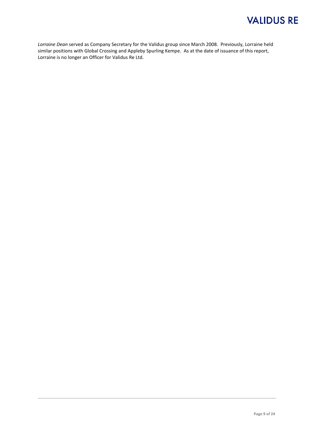*Lorraine Dean* served as Company Secretary for the Validus group since March 2008. Previously, Lorraine held similar positions with Global Crossing and Appleby Spurling Kempe. As at the date of issuance of this report, Lorraine is no longer an Officer for Validus Re Ltd.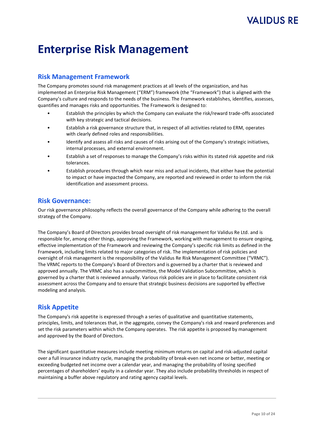# **Enterprise Risk Management**

#### **Risk Management Framework**

The Company promotes sound risk management practices at all levels of the organization, and has implemented an Enterprise Risk Management ("ERM") framework (the "Framework") that is aligned with the Company's culture and responds to the needs of the business. The Framework establishes, identifies, assesses, quantifies and manages risks and opportunities. The Framework is designed to:

- Establish the principles by which the Company can evaluate the risk/reward trade-offs associated with key strategic and tactical decisions.
- Establish a risk governance structure that, in respect of all activities related to ERM, operates with clearly defined roles and responsibilities.
- Identify and assess all risks and causes of risks arising out of the Company's strategic initiatives, internal processes, and external environment.
- Establish a set of responses to manage the Company's risks within its stated risk appetite and risk tolerances.
- Establish procedures through which near miss and actual incidents, that either have the potential to impact or have impacted the Company, are reported and reviewed in order to inform the risk identification and assessment process.

#### **Risk Governance:**

Our risk governance philosophy reflects the overall governance of the Company while adhering to the overall strategy of the Company.

The Company's Board of Directors provides broad oversight of risk management for Validus Re Ltd. and is responsible for, among other things, approving the Framework, working with management to ensure ongoing, effective implementation of the Framework and reviewing the Company's specific risk limits as defined in the Framework, including limits related to major categories of risk. The implementation of risk policies and oversight of risk management is the responsibility of the Validus Re Risk Management Committee ("VRMC"). The VRMC reports to the Company's Board of Directors and is governed by a charter that is reviewed and approved annually. The VRMC also has a subcommittee, the Model Validation Subcommittee, which is governed by a charter that is reviewed annually. Various risk policies are in place to facilitate consistent risk assessment across the Company and to ensure that strategic business decisions are supported by effective modeling and analysis.

#### **Risk Appetite**

The Company's risk appetite is expressed through a series of qualitative and quantitative statements, principles, limits, and tolerances that, in the aggregate, convey the Company's risk and reward preferences and set the risk parameters within which the Company operates. The risk appetite is proposed by management and approved by the Board of Directors.

The significant quantitative measures include meeting minimum returns on capital and risk-adjusted capital over a full insurance industry cycle, managing the probability of break-even net income or better, meeting or exceeding budgeted net income over a calendar year, and managing the probability of losing specified percentages of shareholders' equity in a calendar year. They also include probability thresholds in respect of maintaining a buffer above regulatory and rating agency capital levels.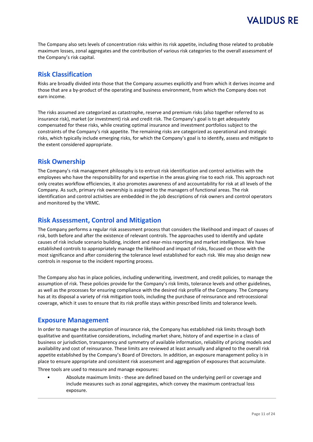The Company also sets levels of concentration risks within its risk appetite, including those related to probable maximum losses, zonal aggregates and the contribution of various risk categories to the overall assessment of the Company's risk capital.

#### **Risk Classification**

Risks are broadly divided into those that the Company assumes explicitly and from which it derives income and those that are a by-product of the operating and business environment, from which the Company does not earn income.

The risks assumed are categorized as catastrophe, reserve and premium risks (also together referred to as insurance risk), market (or investment) risk and credit risk. The Company's goal is to get adequately compensated for these risks, while creating optimal insurance and investment portfolios subject to the constraints of the Company's risk appetite. The remaining risks are categorized as operational and strategic risks, which typically include emerging risks, for which the Company's goal is to identify, assess and mitigate to the extent considered appropriate.

#### **Risk Ownership**

The Company's risk management philosophy is to entrust risk identification and control activities with the employees who have the responsibility for and expertise in the areas giving rise to each risk. This approach not only creates workflow efficiencies, it also promotes awareness of and accountability for risk at all levels of the Company. As such, primary risk ownership is assigned to the managers of functional areas. The risk identification and control activities are embedded in the job descriptions of risk owners and control operators and monitored by the VRMC.

#### **Risk Assessment, Control and Mitigation**

The Company performs a regular risk assessment process that considers the likelihood and impact of causes of risk, both before and after the existence of relevant controls. The approaches used to identify and update causes of risk include scenario building, incident and near-miss reporting and market intelligence. We have established controls to appropriately manage the likelihood and impact of risks, focused on those with the most significance and after considering the tolerance level established for each risk. We may also design new controls in response to the incident reporting process.

The Company also has in place policies, including underwriting, investment, and credit policies, to manage the assumption of risk. These policies provide for the Company's risk limits, tolerance levels and other guidelines, as well as the processes for ensuring compliance with the desired risk profile of the Company. The Company has at its disposal a variety of risk mitigation tools, including the purchase of reinsurance and retrocessional coverage, which it uses to ensure that its risk profile stays within prescribed limits and tolerance levels.

#### **Exposure Management**

In order to manage the assumption of insurance risk, the Company has established risk limits through both qualitative and quantitative considerations, including market share, history of and expertise in a class of business or jurisdiction, transparency and symmetry of available information, reliability of pricing models and availability and cost of reinsurance. These limits are reviewed at least annually and aligned to the overall risk appetite established by the Company's Board of Directors. In addition, an exposure management policy is in place to ensure appropriate and consistent risk assessment and aggregation of exposures that accumulate.

Three tools are used to measure and manage exposures:

• Absolute maximum limits - these are defined based on the underlying peril or coverage and include measures such as zonal aggregates, which convey the maximum contractual loss exposure.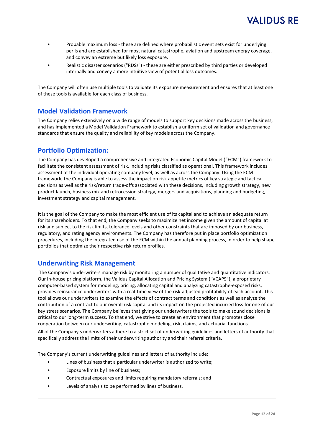- Probable maximum loss these are defined where probabilistic event sets exist for underlying perils and are established for most natural catastrophe, aviation and upstream energy coverage, and convey an extreme but likely loss exposure.
- Realistic disaster scenarios ("RDSs") these are either prescribed by third parties or developed internally and convey a more intuitive view of potential loss outcomes.

The Company will often use multiple tools to validate its exposure measurement and ensures that at least one of these tools is available for each class of business.

#### **Model Validation Framework**

The Company relies extensively on a wide range of models to support key decisions made across the business, and has implemented a Model Validation Framework to establish a uniform set of validation and governance standards that ensure the quality and reliability of key models across the Company.

#### **Portfolio Optimization:**

The Company has developed a comprehensive and integrated Economic Capital Model ("ECM") framework to facilitate the consistent assessment of risk, including risks classified as operational. This framework includes assessment at the individual operating company level, as well as across the Company. Using the ECM framework, the Company is able to assess the impact on risk appetite metrics of key strategic and tactical decisions as well as the risk/return trade-offs associated with these decisions, including growth strategy, new product launch, business mix and retrocession strategy, mergers and acquisitions, planning and budgeting, investment strategy and capital management.

It is the goal of the Company to make the most efficient use of its capital and to achieve an adequate return for its shareholders. To that end, the Company seeks to maximize net income given the amount of capital at risk and subject to the risk limits, tolerance levels and other constraints that are imposed by our business, regulatory, and rating agency environments. The Company has therefore put in place portfolio optimization procedures, including the integrated use of the ECM within the annual planning process, in order to help shape portfolios that optimize their respective risk return profiles.

#### **Underwriting Risk Management**

The Company's underwriters manage risk by monitoring a number of qualitative and quantitative indicators. Our in-house pricing platform, the Validus Capital Allocation and Pricing System ("VCAPS"), a proprietary computer-based system for modeling, pricing, allocating capital and analyzing catastrophe-exposed risks, provides reinsurance underwriters with a real-time view of the risk-adjusted profitability of each account. This tool allows our underwriters to examine the effects of contract terms and conditions as well as analyze the contribution of a contract to our overall risk capital and its impact on the projected incurred loss for one of our key stress scenarios. The Company believes that giving our underwriters the tools to make sound decisions is critical to our long-term success. To that end, we strive to create an environment that promotes close cooperation between our underwriting, catastrophe modeling, risk, claims, and actuarial functions. All of the Company's underwriters adhere to a strict set of underwriting guidelines and letters of authority that

specifically address the limits of their underwriting authority and their referral criteria.

The Company's current underwriting guidelines and letters of authority include:

- Lines of business that a particular underwriter is authorized to write;
- Exposure limits by line of business;
- Contractual exposures and limits requiring mandatory referrals; and
- Levels of analysis to be performed by lines of business.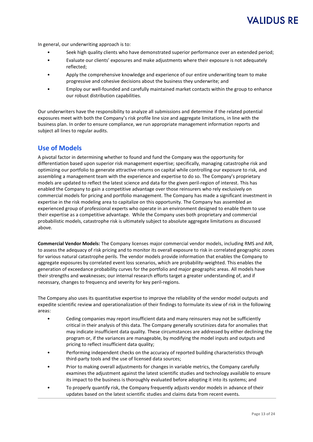# 'ALIDUS RE

In general, our underwriting approach is to:

- Seek high quality clients who have demonstrated superior performance over an extended period;
- Evaluate our clients' exposures and make adjustments where their exposure is not adequately reflected;
- Apply the comprehensive knowledge and experience of our entire underwriting team to make progressive and cohesive decisions about the business they underwrite; and
- Employ our well-founded and carefully maintained market contacts within the group to enhance our robust distribution capabilities.

Our underwriters have the responsibility to analyze all submissions and determine if the related potential exposures meet with both the Company's risk profile line size and aggregate limitations, in line with the business plan. In order to ensure compliance, we run appropriate management information reports and subject all lines to regular audits.

#### **Use of Models**

A pivotal factor in determining whether to found and fund the Company was the opportunity for differentiation based upon superior risk management expertise; specifically, managing catastrophe risk and optimizing our portfolio to generate attractive returns on capital while controlling our exposure to risk, and assembling a management team with the experience and expertise to do so. The Company's proprietary models are updated to reflect the latest science and data for the given peril-region of interest. This has enabled the Company to gain a competitive advantage over those reinsurers who rely exclusively on commercial models for pricing and portfolio management. The Company has made a significant investment in expertise in the risk modeling area to capitalize on this opportunity. The Company has assembled an experienced group of professional experts who operate in an environment designed to enable them to use their expertise as a competitive advantage. While the Company uses both proprietary and commercial probabilistic models, catastrophe risk is ultimately subject to absolute aggregate limitations as discussed above.

**Commercial Vendor Models:** The Company licenses major commercial vendor models, including RMS and AIR, to assess the adequacy of risk pricing and to monitor its overall exposure to risk in correlated geographic zones for various natural catastrophe perils. The vendor models provide information that enables the Company to aggregate exposures by correlated event loss scenarios, which are probability-weighted. This enables the generation of exceedance probability curves for the portfolio and major geographic areas. All models have their strengths and weaknesses; our internal research efforts target a greater understanding of, and if necessary, changes to frequency and severity for key peril-regions.

The Company also uses its quantitative expertise to improve the reliability of the vendor model outputs and expedite scientific review and operationalization of their findings to formulate its view of risk in the following areas:

- Ceding companies may report insufficient data and many reinsurers may not be sufficiently critical in their analysis of this data. The Company generally scrutinizes data for anomalies that may indicate insufficient data quality. These circumstances are addressed by either declining the program or, if the variances are manageable, by modifying the model inputs and outputs and pricing to reflect insufficient data quality;
- Performing independent checks on the accuracy of reported building characteristics through third-party tools and the use of licensed data sources;
- Prior to making overall adjustments for changes in variable metrics, the Company carefully examines the adjustment against the latest scientific studies and technology available to ensure its impact to the business is thoroughly evaluated before adopting it into its systems; and
- To properly quantify risk, the Company frequently adjusts vendor models in advance of their updates based on the latest scientific studies and claims data from recent events.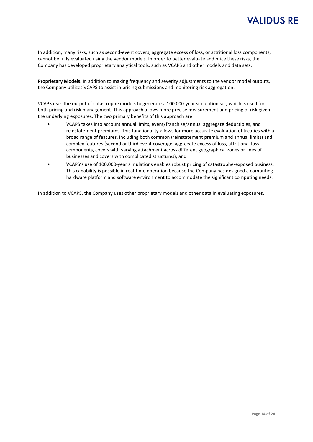In addition, many risks, such as second-event covers, aggregate excess of loss, or attritional loss components, cannot be fully evaluated using the vendor models. In order to better evaluate and price these risks, the Company has developed proprietary analytical tools, such as VCAPS and other models and data sets.

**Proprietary Models***:* In addition to making frequency and severity adjustments to the vendor model outputs, the Company utilizes VCAPS to assist in pricing submissions and monitoring risk aggregation.

VCAPS uses the output of catastrophe models to generate a 100,000-year simulation set, which is used for both pricing and risk management. This approach allows more precise measurement and pricing of risk given the underlying exposures. The two primary benefits of this approach are:

- VCAPS takes into account annual limits, event/franchise/annual aggregate deductibles, and reinstatement premiums. This functionality allows for more accurate evaluation of treaties with a broad range of features, including both common (reinstatement premium and annual limits) and complex features (second or third event coverage, aggregate excess of loss, attritional loss components, covers with varying attachment across different geographical zones or lines of businesses and covers with complicated structures); and
- VCAPS's use of 100,000-year simulations enables robust pricing of catastrophe-exposed business. This capability is possible in real-time operation because the Company has designed a computing hardware platform and software environment to accommodate the significant computing needs.

In addition to VCAPS, the Company uses other proprietary models and other data in evaluating exposures.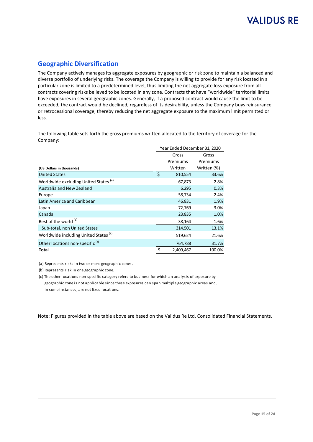#### **Geographic Diversification**

The Company actively manages its aggregate exposures by geographic or risk zone to maintain a balanced and diverse portfolio of underlying risks. The coverage the Company is willing to provide for any risk located in a particular zone is limited to a predetermined level, thus limiting the net aggregate loss exposure from all contracts covering risks believed to be located in any zone. Contracts that have "worldwide" territorial limits have exposures in several geographic zones. Generally, if a proposed contract would cause the limit to be exceeded, the contract would be declined, regardless of its desirability, unless the Company buys reinsurance or retrocessional coverage, thereby reducing the net aggregate exposure to the maximum limit permitted or less.

The following table sets forth the gross premiums written allocated to the territory of coverage for the Company:

|                                                  | Year Ended December 31, 2020 |           |             |  |  |
|--------------------------------------------------|------------------------------|-----------|-------------|--|--|
|                                                  |                              | Gross     | Gross       |  |  |
|                                                  |                              | Premiums  | Premiums    |  |  |
| (US Dollars in thousands)                        |                              | Written   | Written (%) |  |  |
| <b>United States</b>                             | \$                           | 810,554   | 33.6%       |  |  |
| Worldwide excluding United States <sup>(a)</sup> |                              | 67,873    | 2.8%        |  |  |
| Australia and New Zealand                        |                              | 6,295     | 0.3%        |  |  |
| Europe                                           |                              | 58,734    | 2.4%        |  |  |
| Latin America and Caribbean                      |                              | 46,831    | 1.9%        |  |  |
| Japan                                            |                              | 72,769    | 3.0%        |  |  |
| Canada                                           |                              | 23,835    | 1.0%        |  |  |
| Rest of the world (b)                            |                              | 38,164    | 1.6%        |  |  |
| Sub-total, non United States                     |                              | 314,501   | 13.1%       |  |  |
| Worldwide including United States <sup>(a)</sup> |                              | 519,624   | 21.6%       |  |  |
| Other locations non-specific <sup>(c)</sup>      |                              | 764,788   | 31.7%       |  |  |
| Total                                            | \$                           | 2,409,467 | 100.0%      |  |  |

(a) Represents risks in two or more geographic zones.

(b) Represents risk in one geographic zone.

(c) The other locations non-specific category refers to business for which an analysis of exposure by geographic zone is not applicable since these exposures can span multiple geographic areas and, in some instances, are not fixed locations.

Note: Figures provided in the table above are based on the Validus Re Ltd. Consolidated Financial Statements.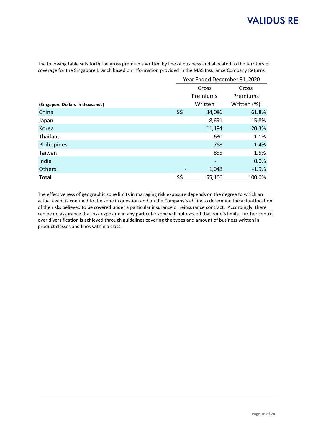The following table sets forth the gross premiums written by line of business and allocated to the territory of coverage for the Singapore Branch based on information provided in the MAS Insurance Company Returns:

|                                  |     | Year Ended December 31, 2020 |             |  |  |  |  |
|----------------------------------|-----|------------------------------|-------------|--|--|--|--|
|                                  |     | Gross                        | Gross       |  |  |  |  |
|                                  |     | Premiums                     | Premiums    |  |  |  |  |
| (Singapore Dollars in thousands) |     | Written                      | Written (%) |  |  |  |  |
| China                            | S\$ | 34,086                       | 61.8%       |  |  |  |  |
| Japan                            |     | 8,691                        | 15.8%       |  |  |  |  |
| Korea                            |     | 11,184                       | 20.3%       |  |  |  |  |
| Thailand                         |     | 630                          | 1.1%        |  |  |  |  |
| Philippines                      |     | 768                          | 1.4%        |  |  |  |  |
| Taiwan                           |     | 855                          | 1.5%        |  |  |  |  |
| India                            |     |                              | 0.0%        |  |  |  |  |
| <b>Others</b>                    |     | 1,048                        | $-1.9%$     |  |  |  |  |
| <b>Total</b>                     | S\$ | 55,166                       | 100.0%      |  |  |  |  |

The effectiveness of geographic zone limits in managing risk exposure depends on the degree to which an actual event is confined to the zone in question and on the Company's ability to determine the actual location of the risks believed to be covered under a particular insurance or reinsurance contract. Accordingly, there can be no assurance that risk exposure in any particular zone will not exceed that zone's limits. Further control over diversification is achieved through guidelines covering the types and amount of business written in product classes and lines within a class.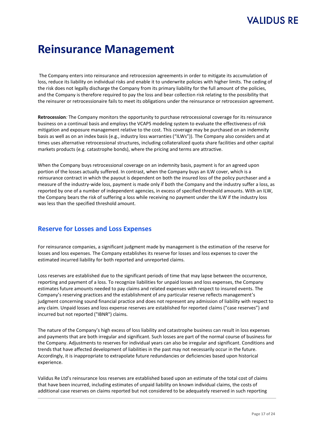# 'ALIDUS RE

# **Reinsurance Management**

The Company enters into reinsurance and retrocession agreements in order to mitigate its accumulation of loss, reduce its liability on individual risks and enable it to underwrite policies with higher limits. The ceding of the risk does not legally discharge the Company from its primary liability for the full amount of the policies, and the Company is therefore required to pay the loss and bear collection risk relating to the possibility that the reinsurer or retrocessionaire fails to meet its obligations under the reinsurance or retrocession agreement.

**Retrocession***:* The Company monitors the opportunity to purchase retrocessional coverage for its reinsurance business on a continual basis and employs the VCAPS modeling system to evaluate the effectiveness of risk mitigation and exposure management relative to the cost. This coverage may be purchased on an indemnity basis as well as on an index basis (e.g., industry loss warranties ("ILWs")). The Company also considers and at times uses alternative retrocessional structures, including collateralized quota share facilities and other capital markets products (e.g. catastrophe bonds), where the pricing and terms are attractive.

When the Company buys retrocessional coverage on an indemnity basis, payment is for an agreed upon portion of the losses actually suffered. In contrast, when the Company buys an ILW cover, which is a reinsurance contract in which the payout is dependent on both the insured loss of the policy purchaser and a measure of the industry-wide loss, payment is made only if both the Company and the industry suffer a loss, as reported by one of a number of independent agencies, in excess of specified threshold amounts. With an ILW, the Company bears the risk of suffering a loss while receiving no payment under the ILW if the industry loss was less than the specified threshold amount.

#### **Reserve for Losses and Loss Expenses**

For reinsurance companies, a significant judgment made by management is the estimation of the reserve for losses and loss expenses. The Company establishes its reserve for losses and loss expenses to cover the estimated incurred liability for both reported and unreported claims.

Loss reserves are established due to the significant periods of time that may lapse between the occurrence, reporting and payment of a loss. To recognize liabilities for unpaid losses and loss expenses, the Company estimates future amounts needed to pay claims and related expenses with respect to insured events. The Company's reserving practices and the establishment of any particular reserve reflects management's judgment concerning sound financial practice and does not represent any admission of liability with respect to any claim. Unpaid losses and loss expense reserves are established for reported claims ("case reserves") and incurred but not reported ("IBNR") claims.

The nature of the Company's high excess of loss liability and catastrophe business can result in loss expenses and payments that are both irregular and significant. Such losses are part of the normal course of business for the Company. Adjustments to reserves for individual years can also be irregular and significant. Conditions and trends that have affected development of liabilities in the past may not necessarily occur in the future. Accordingly, it is inappropriate to extrapolate future redundancies or deficiencies based upon historical experience.

Validus Re Ltd's reinsurance loss reserves are established based upon an estimate of the total cost of claims that have been incurred, including estimates of unpaid liability on known individual claims, the costs of additional case reserves on claims reported but not considered to be adequately reserved in such reporting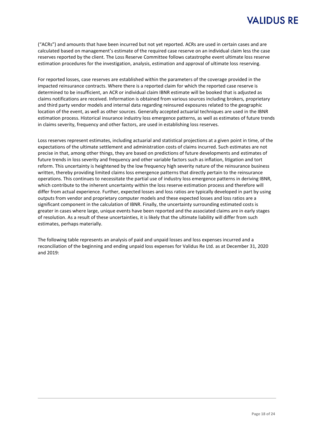("ACRs") and amounts that have been incurred but not yet reported. ACRs are used in certain cases and are calculated based on management's estimate of the required case reserve on an individual claim less the case reserves reported by the client. The Loss Reserve Committee follows catastrophe event ultimate loss reserve estimation procedures for the investigation, analysis, estimation and approval of ultimate loss reserving.

For reported losses, case reserves are established within the parameters of the coverage provided in the impacted reinsurance contracts. Where there is a reported claim for which the reported case reserve is determined to be insufficient, an ACR or individual claim IBNR estimate will be booked that is adjusted as claims notifications are received. Information is obtained from various sources including brokers, proprietary and third party vendor models and internal data regarding reinsured exposures related to the geographic location of the event, as well as other sources. Generally accepted actuarial techniques are used in the IBNR estimation process. Historical insurance industry loss emergence patterns, as well as estimates of future trends in claims severity, frequency and other factors, are used in establishing loss reserves.

Loss reserves represent estimates, including actuarial and statistical projections at a given point in time, of the expectations of the ultimate settlement and administration costs of claims incurred. Such estimates are not precise in that, among other things, they are based on predictions of future developments and estimates of future trends in loss severity and frequency and other variable factors such as inflation, litigation and tort reform. This uncertainty is heightened by the low frequency high severity nature of the reinsurance business written, thereby providing limited claims loss emergence patterns that directly pertain to the reinsurance operations. This continues to necessitate the partial use of industry loss emergence patterns in deriving IBNR, which contribute to the inherent uncertainty within the loss reserve estimation process and therefore will differ from actual experience. Further, expected losses and loss ratios are typically developed in part by using outputs from vendor and proprietary computer models and these expected losses and loss ratios are a significant component in the calculation of IBNR. Finally, the uncertainty surrounding estimated costs is greater in cases where large, unique events have been reported and the associated claims are in early stages of resolution. As a result of these uncertainties, it is likely that the ultimate liability will differ from such estimates, perhaps materially.

The following table represents an analysis of paid and unpaid losses and loss expenses incurred and a reconciliation of the beginning and ending unpaid loss expenses for Validus Re Ltd. as at December 31, 2020 and 2019: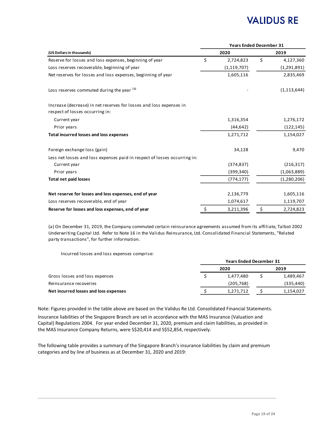|                                                                                                        | <b>Years Ended December 31</b> |               |      |               |  |  |  |
|--------------------------------------------------------------------------------------------------------|--------------------------------|---------------|------|---------------|--|--|--|
| (US Dollars in thousands)                                                                              |                                | 2020          | 2019 |               |  |  |  |
| Reserve for losses and loss expenses, beginning of year                                                | \$                             | 2,724,823     | \$   | 4,127,360     |  |  |  |
| Loss reserves recoverable, beginning of year                                                           |                                | (1, 119, 707) |      | (1, 291, 891) |  |  |  |
| Net reserves for losses and loss expenses, beginning of year                                           |                                | 1,605,116     |      | 2,835,469     |  |  |  |
| Loss reserves commuted during the year (a)                                                             |                                |               |      | (1, 113, 644) |  |  |  |
| Increase (decrease) in net reserves for losses and loss expenses in<br>respect of losses occurring in: |                                |               |      |               |  |  |  |
| Current year                                                                                           |                                | 1,316,354     |      | 1,276,172     |  |  |  |
| Prior years                                                                                            |                                | (44, 642)     |      | (122, 145)    |  |  |  |
| Total incurred losses and loss expenses                                                                |                                | 1,271,712     |      | 1,154,027     |  |  |  |
| Foreign exchange loss (gain)                                                                           |                                | 34,128        |      | 9,470         |  |  |  |
| Less net losses and loss expenses paid in respect of losses occurring in:                              |                                |               |      |               |  |  |  |
| Current year                                                                                           |                                | (374, 837)    |      | (216, 317)    |  |  |  |
| Prior years                                                                                            |                                | (399, 340)    |      | (1,063,889)   |  |  |  |
| <b>Total net paid losses</b>                                                                           |                                | (774, 177)    |      | (1, 280, 206) |  |  |  |
| Net reserve for losses and loss expenses, end of year                                                  |                                | 2,136,779     |      | 1,605,116     |  |  |  |
| Loss reserves recoverable, end of year                                                                 |                                | 1,074,617     |      | 1,119,707     |  |  |  |
| Reserve for losses and loss expenses, end of year                                                      | \$                             | 3,211,396     | \$   | 2,724,823     |  |  |  |
|                                                                                                        |                                |               |      |               |  |  |  |

(a) On December 31, 2019, the Company commuted certain reinsurance agreements assumed from its affiliate, Talbot 2002 Underwriting Capital Ltd. Refer to Note 16 in the Validus Reinsurance, Ltd. Consolidated Financial Statements, "Related party transactions", for further information.

Incurred losses and loss expenses comprise:

|                                       | <b>Years Ended December 31</b> |      |            |  |
|---------------------------------------|--------------------------------|------|------------|--|
|                                       | 2020                           | 2019 |            |  |
| Gross losses and loss expenses        | 1.477.480                      |      | 1,489,467  |  |
| Reinsurance recoveries                | (205, 768)                     |      | (335, 440) |  |
| Net incurred losses and loss expenses | 1,271,712                      |      | 1,154,027  |  |
|                                       |                                |      |            |  |

Note: Figures provided in the table above are based on the Validus Re Ltd. Consolidated Financial Statements.

Insurance liabilities of the Singapore Branch are set in accordance with the MAS Insurance (Valuation and Capital) Regulations 2004. For year ended December 31, 2020, premium and claim liabilities, as provided in the MAS Insurance Company Returns, were S\$20,414 and S\$52,854, respectively.

The following table provides a summary of the Singapore Branch's insurance liabilities by claim and premium categories and by line of business as at December 31, 2020 and 2019: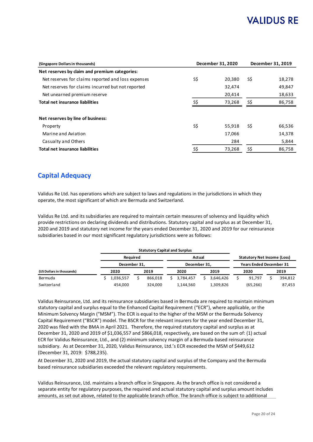| (Singapore Dollars in thousands)                   | December 31, 2020 | December 31, 2019 |     |        |
|----------------------------------------------------|-------------------|-------------------|-----|--------|
| Net reserves by claim and premium categories:      |                   |                   |     |        |
| Net reserves for claims reported and loss expenses | S\$               | 20,380            | S\$ | 18,278 |
| Net reserves for claims incurred but not reported  |                   | 32,474            |     | 49,847 |
| Net unearned premium reserve                       |                   | 20,414            |     | 18,633 |
| Total net insurance liabilities                    | S\$               | 73,268            | S\$ | 86,758 |
|                                                    |                   |                   |     |        |
| Net reserves by line of business:                  |                   |                   |     |        |
| Property                                           | S\$               | 55.918            | S\$ | 66,536 |
| Marine and Aviation                                |                   | 17,066            |     | 14,378 |
| Casualty and Others                                |                   | 284               |     | 5,844  |
| <b>Total net insurance liabilities</b>             | S\$               | 73,268            | S\$ | 86,758 |

#### **Capital Adequacy**

Validus Re Ltd. has operations which are subject to laws and regulations in the jurisdictions in which they operate, the most significant of which are Bermuda and Switzerland.

Validus Re Ltd. and its subsidiaries are required to maintain certain measures of solvency and liquidity which provide restrictions on declaring dividends and distributions. Statutory capital and surplus as at December 31, 2020 and 2019 and statutory net income for the years ended December 31, 2020 and 2019 for our reinsurance subsidiaries based in our most significant regulatory jurisdictions were as follows:

|                           |  |              |  | <b>Statutory Capital and Surplus</b> |                                    |           |  |                                |  |           |  |         |
|---------------------------|--|--------------|--|--------------------------------------|------------------------------------|-----------|--|--------------------------------|--|-----------|--|---------|
| <b>Required</b>           |  | Actual       |  |                                      | <b>Statutory Net Income (Loss)</b> |           |  |                                |  |           |  |         |
|                           |  | December 31. |  |                                      | December 31.                       |           |  | <b>Years Ended December 31</b> |  |           |  |         |
| (US Dollars in thousands) |  | 2020         |  | 2019                                 |                                    | 2020      |  | 2019                           |  | 2020      |  | 2019    |
| Bermuda                   |  | 1,036,557    |  | 866.018                              |                                    | 3.784.457 |  | 3.646.426                      |  | 91.797    |  | 394,812 |
| Switzerland               |  | 454,000      |  | 324.000                              |                                    | 1,144,560 |  | 1,309,826                      |  | (65, 266) |  | 87,453  |

Validus Reinsurance, Ltd. and its reinsurance subsidiaries based in Bermuda are required to maintain minimum statutory capital and surplus equal to the Enhanced Capital Requirement ("ECR"), where applicable, or the Minimum Solvency Margin ("MSM"). The ECR is equal to the higher of the MSM or the Bermuda Solvency Capital Requirement ("BSCR") model. The BSCR for the relevant insurers for the year ended December 31, 2020 was filed with the BMA in April 2021. Therefore, the required statutory capital and surplus as at December 31, 2020 and 2019 of \$1,036,557 and \$866,018, respectively, are based on the sum of: (1) actual ECR for Validus Reinsurance, Ltd., and (2) minimum solvency margin of a Bermuda-based reinsurance subsidiary. As at December 31, 2020, Validus Reinsurance, Ltd.'s ECR exceeded the MSM of \$449,612 (December 31, 2019: \$788,235).

At December 31, 2020 and 2019, the actual statutory capital and surplus of the Company and the Bermuda based reinsurance subsidiaries exceeded the relevant regulatory requirements.

Validus Reinsurance, Ltd. maintains a branch office in Singapore. As the branch office is not considered a separate entity for regulatory purposes, the required and actual statutory capital and surplus amount includes amounts, as set out above, related to the applicable branch office. The branch office is subject to additional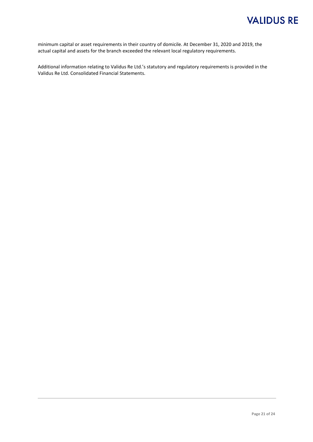minimum capital or asset requirements in their country of domicile. At December 31, 2020 and 2019, the actual capital and assets for the branch exceeded the relevant local regulatory requirements.

Additional information relating to Validus Re Ltd.'s statutory and regulatory requirements is provided in the Validus Re Ltd. Consolidated Financial Statements.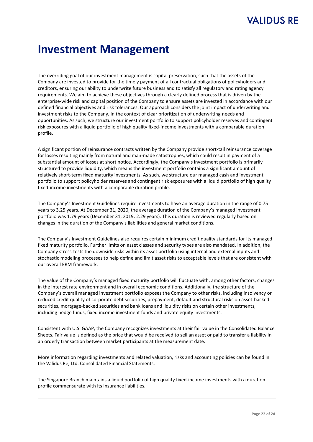# **Investment Management**

The overriding goal of our investment management is capital preservation, such that the assets of the Company are invested to provide for the timely payment of all contractual obligations of policyholders and creditors, ensuring our ability to underwrite future business and to satisfy all regulatory and rating agency requirements. We aim to achieve these objectives through a clearly defined process that is driven by the enterprise-wide risk and capital position of the Company to ensure assets are invested in accordance with our defined financial objectives and risk tolerances. Our approach considers the joint impact of underwriting and investment risks to the Company, in the context of clear prioritization of underwriting needs and opportunities. As such, we structure our investment portfolio to support policyholder reserves and contingent risk exposures with a liquid portfolio of high quality fixed-income investments with a comparable duration profile.

A significant portion of reinsurance contracts written by the Company provide short-tail reinsurance coverage for losses resulting mainly from natural and man-made catastrophes, which could result in payment of a substantial amount of losses at short notice. Accordingly, the Company's investment portfolio is primarily structured to provide liquidity, which means the investment portfolio contains a significant amount of relatively short-term fixed maturity investments. As such, we structure our managed cash and investment portfolio to support policyholder reserves and contingent risk exposures with a liquid portfolio of high quality fixed-income investments with a comparable duration profile.

The Company's Investment Guidelines require investments to have an average duration in the range of 0.75 years to 3.25 years. At December 31, 2020, the average duration of the Company's managed investment portfolio was 1.79 years (December 31, 2019: 2.29 years). This duration is reviewed regularly based on changes in the duration of the Company's liabilities and general market conditions.

The Company's Investment Guidelines also requires certain minimum credit quality standards for its managed fixed maturity portfolio. Further limits on asset classes and security types are also mandated. In addition, the Company stress-tests the downside risks within its asset portfolio using internal and external inputs and stochastic modeling processes to help define and limit asset risks to acceptable levels that are consistent with our overall ERM framework.

The value of the Company's managed fixed maturity portfolio will fluctuate with, among other factors, changes in the interest rate environment and in overall economic conditions. Additionally, the structure of the Company's overall managed investment portfolio exposes the Company to other risks, including insolvency or reduced credit quality of corporate debt securities, prepayment, default and structural risks on asset-backed securities, mortgage-backed securities and bank loans and liquidity risks on certain other investments, including hedge funds, fixed income investment funds and private equity investments.

Consistent with U.S. GAAP, the Company recognizes investments at their fair value in the Consolidated Balance Sheets. Fair value is defined as the price that would be received to sell an asset or paid to transfer a liability in an orderly transaction between market participants at the measurement date.

More information regarding investments and related valuation, risks and accounting policies can be found in the Validus Re, Ltd. Consolidated Financial Statements.

The Singapore Branch maintains a liquid portfolio of high quality fixed-income investments with a duration profile commensurate with its insurance liabilities.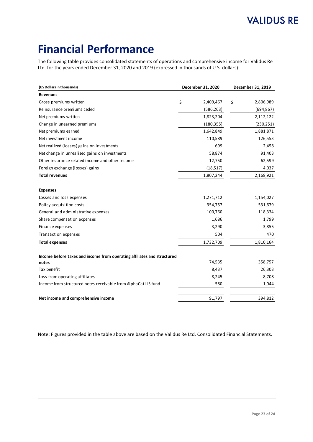# **Financial Performance**

The following table provides consolidated statements of operations and comprehensive income for Validus Re Ltd. for the years ended December 31, 2020 and 2019 (expressed in thousands of U.S. dollars):

| (US Dollars in thousands)                                               | December 31, 2020 | December 31, 2019 |  |
|-------------------------------------------------------------------------|-------------------|-------------------|--|
| <b>Revenues</b>                                                         |                   |                   |  |
| Gross premiums written                                                  | \$<br>2,409,467   | \$<br>2,806,989   |  |
| Reinsurance premiums ceded                                              | (586, 263)        | (694, 867)        |  |
| Net premiums written                                                    | 1,823,204         | 2,112,122         |  |
| Change in unearned premiums                                             | (180, 355)        | (230, 251)        |  |
| Net premiums earned                                                     | 1,642,849         | 1,881,871         |  |
| Net investment income                                                   | 110,589           | 126,553           |  |
| Net realized (losses) gains on investments                              | 699               | 2,458             |  |
| Net change in unrealized gains on investments                           | 58,874            | 91,403            |  |
| Other insurance related income and other income                         | 12,750            | 62,599            |  |
| Foreign exchange (losses) gains                                         | (18, 517)         | 4,037             |  |
| <b>Total revenues</b>                                                   | 1,807,244         | 2,168,921         |  |
| <b>Expenses</b>                                                         |                   |                   |  |
| Losses and loss expenses                                                | 1,271,712         | 1,154,027         |  |
| Policy acquisition costs                                                | 354,757           | 531,679           |  |
| General and administrative expenses                                     | 100,760           | 118,334           |  |
| Share compensation expenses                                             | 1,686             | 1,799             |  |
| Finance expenses                                                        | 3,290             | 3,855             |  |
| Transaction expenses                                                    | 504               | 470               |  |
| <b>Total expenses</b>                                                   | 1,732,709         | 1,810,164         |  |
| Income before taxes and income from operating affiliates and structured |                   |                   |  |
| notes                                                                   | 74,535            | 358,757           |  |
| Tax benefit                                                             | 8,437             | 26,303            |  |
| Loss from operating affiliates                                          | 8,245             | 8,708             |  |
| Income from structured notes receivable from AlphaCat ILS fund          | 580               | 1,044             |  |
| Net income and comprehensive income                                     | 91,797            | 394,812           |  |

Note: Figures provided in the table above are based on the Validus Re Ltd. Consolidated Financial Statements.